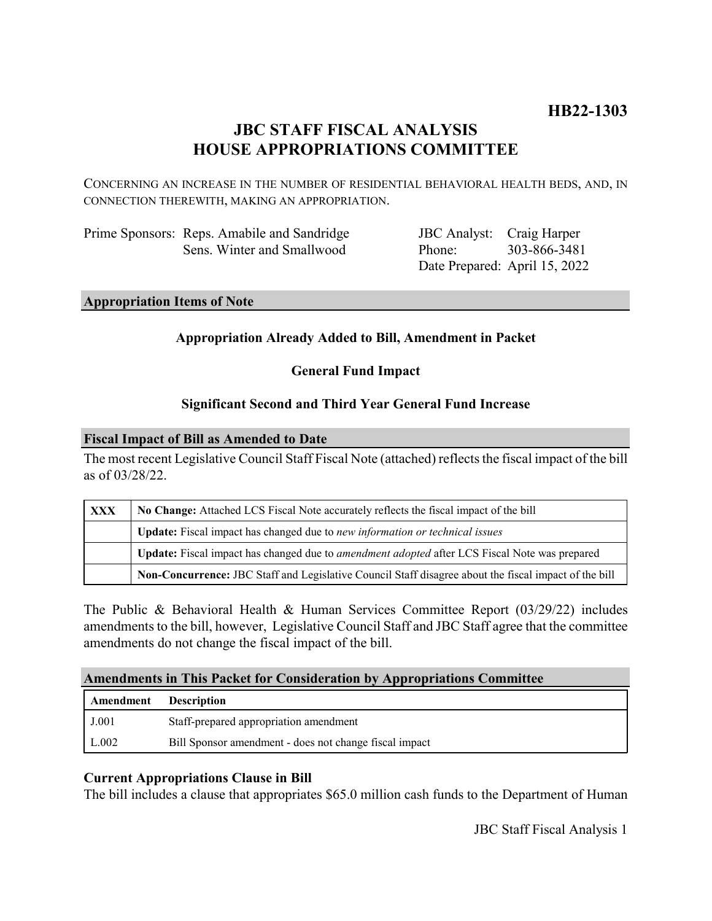# **JBC STAFF FISCAL ANALYSIS HOUSE APPROPRIATIONS COMMITTEE**

CONCERNING AN INCREASE IN THE NUMBER OF RESIDENTIAL BEHAVIORAL HEALTH BEDS, AND, IN CONNECTION THEREWITH, MAKING AN APPROPRIATION.

| Prime Sponsors: Reps. Amabile and Sandridge |
|---------------------------------------------|
| Sens. Winter and Smallwood                  |

JBC Analyst: Craig Harper Phone: Date Prepared: April 15, 2022 303-866-3481

# **Appropriation Items of Note**

## **Appropriation Already Added to Bill, Amendment in Packet**

**General Fund Impact**

## **Significant Second and Third Year General Fund Increase**

### **Fiscal Impact of Bill as Amended to Date**

The most recent Legislative Council Staff Fiscal Note (attached) reflects the fiscal impact of the bill as of 03/28/22.

| <b>XXX</b> | No Change: Attached LCS Fiscal Note accurately reflects the fiscal impact of the bill                 |  |
|------------|-------------------------------------------------------------------------------------------------------|--|
|            | Update: Fiscal impact has changed due to new information or technical issues                          |  |
|            | Update: Fiscal impact has changed due to <i>amendment adopted</i> after LCS Fiscal Note was prepared  |  |
|            | Non-Concurrence: JBC Staff and Legislative Council Staff disagree about the fiscal impact of the bill |  |

The Public & Behavioral Health & Human Services Committee Report (03/29/22) includes amendments to the bill, however, Legislative Council Staff and JBC Staff agree that the committee amendments do not change the fiscal impact of the bill.

### **Amendments in This Packet for Consideration by Appropriations Committee**

| <b>Amendment</b> Description |                                                        |
|------------------------------|--------------------------------------------------------|
| J.001                        | Staff-prepared appropriation amendment                 |
| L.002                        | Bill Sponsor amendment - does not change fiscal impact |

### **Current Appropriations Clause in Bill**

The bill includes a clause that appropriates \$65.0 million cash funds to the Department of Human

JBC Staff Fiscal Analysis 1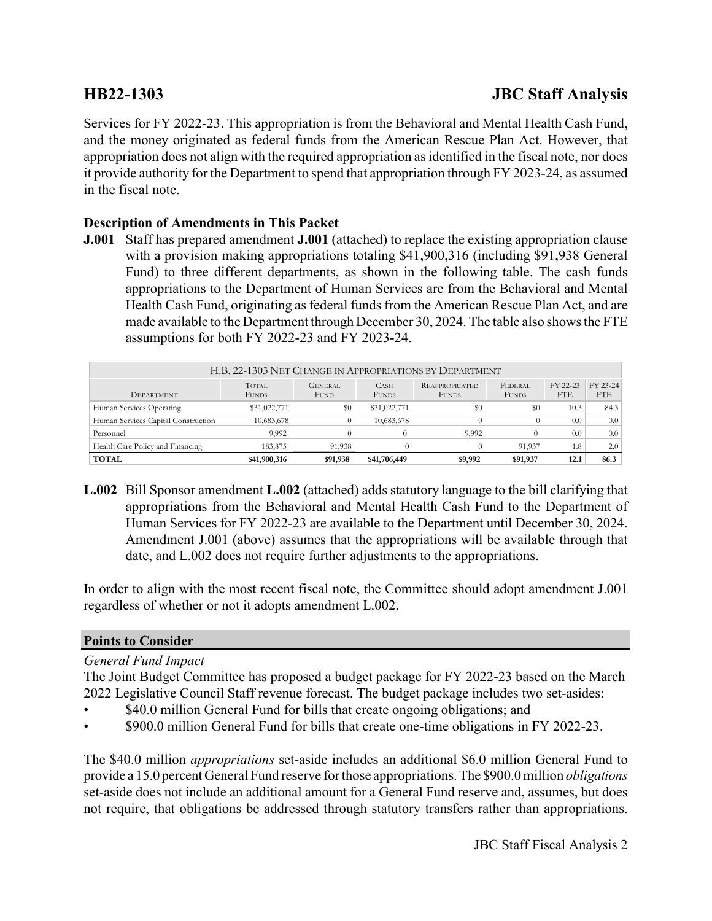# **HB22-1303 JBC Staff Analysis**

Services for FY 2022-23. This appropriation is from the Behavioral and Mental Health Cash Fund, and the money originated as federal funds from the American Rescue Plan Act. However, that appropriation does not align with the required appropriation as identified in the fiscal note, nor does it provide authority for the Department to spend that appropriation through FY 2023-24, as assumed in the fiscal note.

# **Description of Amendments in This Packet**

**J.001** Staff has prepared amendment **J.001** (attached) to replace the existing appropriation clause with a provision making appropriations totaling \$41,900,316 (including \$91,938 General Fund) to three different departments, as shown in the following table. The cash funds appropriations to the Department of Human Services are from the Behavioral and Mental Health Cash Fund, originating as federal funds from the American Rescue Plan Act, and are made available to the Department through December 30, 2024. The table also shows the FTE assumptions for both FY 2022-23 and FY 2023-24.

| H.B. 22-1303 NET CHANGE IN APPROPRIATIONS BY DEPARTMENT |                              |                               |                             |                                       |                         |                        |                        |  |
|---------------------------------------------------------|------------------------------|-------------------------------|-----------------------------|---------------------------------------|-------------------------|------------------------|------------------------|--|
| <b>DEPARTMENT</b>                                       | <b>TOTAL</b><br><b>FUNDS</b> | <b>GENERAL</b><br><b>FUND</b> | <b>CASH</b><br><b>FUNDS</b> | <b>REAPPROPRIATED</b><br><b>FUNDS</b> | FEDERAL<br><b>FUNDS</b> | FY 22-23<br><b>FTE</b> | FY 23-24<br><b>FTE</b> |  |
| Human Services Operating                                | \$31,022,771                 | \$0                           | \$31,022,771                | \$0<br>\$0                            |                         | 10.3                   | 84.3                   |  |
| Human Services Capital Construction                     | 10,683,678                   | 0                             | 10,683,678                  |                                       |                         | 0.0                    | 0.0                    |  |
| Personnel                                               | 9,992                        |                               |                             | 9.992                                 |                         | 0.0                    | 0.0                    |  |
| Health Care Policy and Financing                        | 183,875                      | 91.938                        |                             |                                       | 91.937                  | 1.8                    | 2.0                    |  |
| <b>TOTAL</b>                                            | \$41,900,316                 | \$91,938                      | \$41,706,449                | \$9,992                               | \$91,937                | 12.1                   | 86.3                   |  |

**L.002** Bill Sponsor amendment **L.002** (attached) adds statutory language to the bill clarifying that appropriations from the Behavioral and Mental Health Cash Fund to the Department of Human Services for FY 2022-23 are available to the Department until December 30, 2024. Amendment J.001 (above) assumes that the appropriations will be available through that date, and L.002 does not require further adjustments to the appropriations.

In order to align with the most recent fiscal note, the Committee should adopt amendment J.001 regardless of whether or not it adopts amendment L.002.

### **Points to Consider**

### *General Fund Impact*

The Joint Budget Committee has proposed a budget package for FY 2022-23 based on the March 2022 Legislative Council Staff revenue forecast. The budget package includes two set-asides:

- \$40.0 million General Fund for bills that create ongoing obligations; and
- \$900.0 million General Fund for bills that create one-time obligations in FY 2022-23.

The \$40.0 million *appropriations* set-aside includes an additional \$6.0 million General Fund to provide a 15.0 percent General Fund reserve for those appropriations. The \$900.0 million *obligations* set-aside does not include an additional amount for a General Fund reserve and, assumes, but does not require, that obligations be addressed through statutory transfers rather than appropriations.